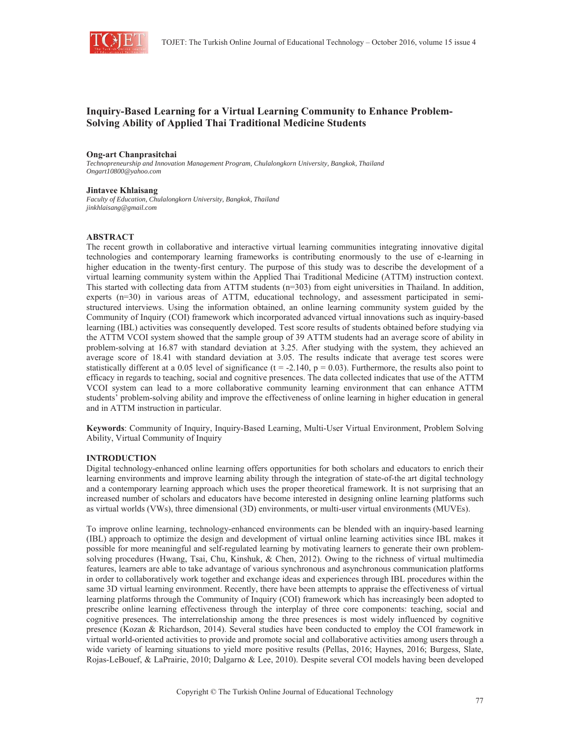

# **Inquiry-Based Learning for a Virtual Learning Community to Enhance Problem-Solving Ability of Applied Thai Traditional Medicine Students**

#### **Ong-art Chanprasitchai**

*Technopreneurship and Innovation Management Program, Chulalongkorn University, Bangkok, Thailand Ongart10800@yahoo.com* 

### **Jintavee Khlaisang**

*Faculty of Education, Chulalongkorn University, Bangkok, Thailand jinkhlaisang@gmail.com* 

#### **ABSTRACT**

The recent growth in collaborative and interactive virtual learning communities integrating innovative digital technologies and contemporary learning frameworks is contributing enormously to the use of e-learning in higher education in the twenty-first century. The purpose of this study was to describe the development of a virtual learning community system within the Applied Thai Traditional Medicine (ATTM) instruction context. This started with collecting data from ATTM students (n=303) from eight universities in Thailand. In addition, experts (n=30) in various areas of ATTM, educational technology, and assessment participated in semistructured interviews. Using the information obtained, an online learning community system guided by the Community of Inquiry (COI) framework which incorporated advanced virtual innovations such as inquiry-based learning (IBL) activities was consequently developed. Test score results of students obtained before studying via the ATTM VCOI system showed that the sample group of 39 ATTM students had an average score of ability in problem-solving at 16.87 with standard deviation at 3.25. After studying with the system, they achieved an average score of 18.41 with standard deviation at 3.05. The results indicate that average test scores were statistically different at a 0.05 level of significance ( $t = -2.140$ ,  $p = 0.03$ ). Furthermore, the results also point to efficacy in regards to teaching, social and cognitive presences. The data collected indicates that use of the ATTM VCOI system can lead to a more collaborative community learning environment that can enhance ATTM students' problem-solving ability and improve the effectiveness of online learning in higher education in general and in ATTM instruction in particular.

**Keywords**: Community of Inquiry, Inquiry-Based Learning, Multi-User Virtual Environment, Problem Solving Ability, Virtual Community of Inquiry

#### **INTRODUCTION**

Digital technology-enhanced online learning offers opportunities for both scholars and educators to enrich their learning environments and improve learning ability through the integration of state-of-the art digital technology and a contemporary learning approach which uses the proper theoretical framework. It is not surprising that an increased number of scholars and educators have become interested in designing online learning platforms such as virtual worlds (VWs), three dimensional (3D) environments, or multi-user virtual environments (MUVEs).

To improve online learning, technology-enhanced environments can be blended with an inquiry-based learning (IBL) approach to optimize the design and development of virtual online learning activities since IBL makes it possible for more meaningful and self-regulated learning by motivating learners to generate their own problemsolving procedures (Hwang, Tsai, Chu, Kinshuk, & Chen, 2012). Owing to the richness of virtual multimedia features, learners are able to take advantage of various synchronous and asynchronous communication platforms in order to collaboratively work together and exchange ideas and experiences through IBL procedures within the same 3D virtual learning environment. Recently, there have been attempts to appraise the effectiveness of virtual learning platforms through the Community of Inquiry (COI) framework which has increasingly been adopted to prescribe online learning effectiveness through the interplay of three core components: teaching, social and cognitive presences. The interrelationship among the three presences is most widely influenced by cognitive presence (Kozan & Richardson, 2014). Several studies have been conducted to employ the COI framework in virtual world-oriented activities to provide and promote social and collaborative activities among users through a wide variety of learning situations to yield more positive results (Pellas, 2016; Haynes, 2016; Burgess, Slate, Rojas-LeBouef, & LaPrairie, 2010; Dalgarno & Lee, 2010). Despite several COI models having been developed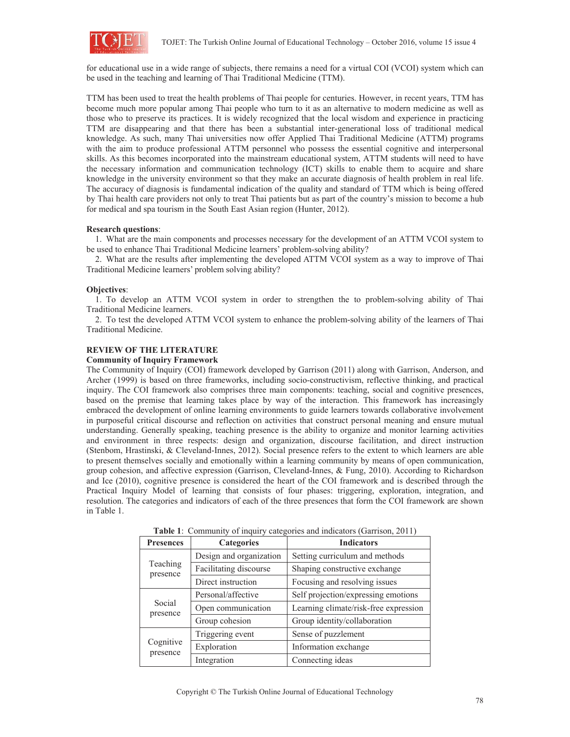

for educational use in a wide range of subjects, there remains a need for a virtual COI (VCOI) system which can be used in the teaching and learning of Thai Traditional Medicine (TTM).

TTM has been used to treat the health problems of Thai people for centuries. However, in recent years, TTM has become much more popular among Thai people who turn to it as an alternative to modern medicine as well as those who to preserve its practices. It is widely recognized that the local wisdom and experience in practicing TTM are disappearing and that there has been a substantial inter-generational loss of traditional medical knowledge. As such, many Thai universities now offer Applied Thai Traditional Medicine (ATTM) programs with the aim to produce professional ATTM personnel who possess the essential cognitive and interpersonal skills. As this becomes incorporated into the mainstream educational system, ATTM students will need to have the necessary information and communication technology (ICT) skills to enable them to acquire and share knowledge in the university environment so that they make an accurate diagnosis of health problem in real life. The accuracy of diagnosis is fundamental indication of the quality and standard of TTM which is being offered by Thai health care providers not only to treat Thai patients but as part of the country's mission to become a hub for medical and spa tourism in the South East Asian region (Hunter, 2012).

### **Research questions**:

1. What are the main components and processes necessary for the development of an ATTM VCOI system to be used to enhance Thai Traditional Medicine learners' problem-solving ability?

2. What are the results after implementing the developed ATTM VCOI system as a way to improve of Thai Traditional Medicine learners' problem solving ability?

### **Objectives**:

1. To develop an ATTM VCOI system in order to strengthen the to problem-solving ability of Thai Traditional Medicine learners.

2. To test the developed ATTM VCOI system to enhance the problem-solving ability of the learners of Thai Traditional Medicine.

### **REVIEW OF THE LITERATURE**

### **Community of Inquiry Framework**

The Community of Inquiry (COI) framework developed by Garrison (2011) along with Garrison, Anderson, and Archer (1999) is based on three frameworks, including socio-constructivism, reflective thinking, and practical inquiry. The COI framework also comprises three main components: teaching, social and cognitive presences, based on the premise that learning takes place by way of the interaction. This framework has increasingly embraced the development of online learning environments to guide learners towards collaborative involvement in purposeful critical discourse and reflection on activities that construct personal meaning and ensure mutual understanding. Generally speaking, teaching presence is the ability to organize and monitor learning activities and environment in three respects: design and organization, discourse facilitation, and direct instruction (Stenbom, Hrastinski, & Cleveland-Innes, 2012). Social presence refers to the extent to which learners are able to present themselves socially and emotionally within a learning community by means of open communication, group cohesion, and affective expression (Garrison, Cleveland-Innes, & Fung, 2010). According to Richardson and Ice (2010), cognitive presence is considered the heart of the COI framework and is described through the Practical Inquiry Model of learning that consists of four phases: triggering, exploration, integration, and resolution. The categories and indicators of each of the three presences that form the COI framework are shown in Table 1.

| <b>Presences</b>      | <b>Categories</b>       | <b>Indicators</b>                     |  |
|-----------------------|-------------------------|---------------------------------------|--|
| Teaching<br>presence  | Design and organization | Setting curriculum and methods        |  |
|                       | Facilitating discourse  | Shaping constructive exchange         |  |
|                       | Direct instruction      | Focusing and resolving issues         |  |
| Social<br>presence    | Personal/affective      | Self projection/expressing emotions   |  |
|                       | Open communication      | Learning climate/risk-free expression |  |
|                       | Group cohesion          | Group identity/collaboration          |  |
| Cognitive<br>presence | Triggering event        | Sense of puzzlement                   |  |
|                       | Exploration             | Information exchange                  |  |
|                       | Integration             | Connecting ideas                      |  |

**Table 1**: Community of inquiry categories and indicators (Garrison, 2011)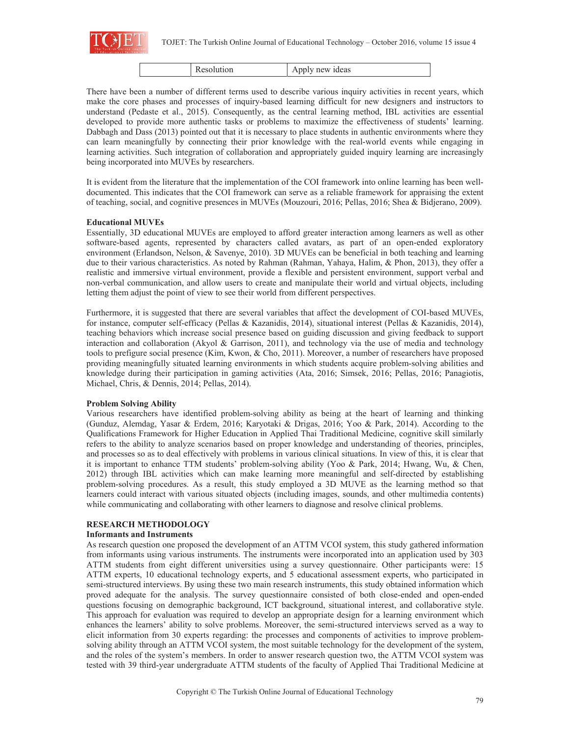

| Apply new ideas |
|-----------------|
|-----------------|

There have been a number of different terms used to describe various inquiry activities in recent years, which make the core phases and processes of inquiry-based learning difficult for new designers and instructors to understand (Pedaste et al., 2015). Consequently, as the central learning method, IBL activities are essential developed to provide more authentic tasks or problems to maximize the effectiveness of students' learning. Dabbagh and Dass (2013) pointed out that it is necessary to place students in authentic environments where they can learn meaningfully by connecting their prior knowledge with the real-world events while engaging in learning activities. Such integration of collaboration and appropriately guided inquiry learning are increasingly being incorporated into MUVEs by researchers.

It is evident from the literature that the implementation of the COI framework into online learning has been welldocumented. This indicates that the COI framework can serve as a reliable framework for appraising the extent of teaching, social, and cognitive presences in MUVEs (Mouzouri, 2016; Pellas, 2016; Shea & Bidjerano, 2009).

### **Educational MUVEs**

Essentially, 3D educational MUVEs are employed to afford greater interaction among learners as well as other software-based agents, represented by characters called avatars, as part of an open-ended exploratory environment (Erlandson, Nelson, & Savenye, 2010). 3D MUVEs can be beneficial in both teaching and learning due to their various characteristics. As noted by Rahman (Rahman, Yahaya, Halim, & Phon, 2013), they offer a realistic and immersive virtual environment, provide a flexible and persistent environment, support verbal and non-verbal communication, and allow users to create and manipulate their world and virtual objects, including letting them adjust the point of view to see their world from different perspectives.

Furthermore, it is suggested that there are several variables that affect the development of COI-based MUVEs, for instance, computer self-efficacy (Pellas & Kazanidis, 2014), situational interest (Pellas & Kazanidis, 2014), teaching behaviors which increase social presence based on guiding discussion and giving feedback to support interaction and collaboration (Akyol & Garrison, 2011), and technology via the use of media and technology tools to prefigure social presence (Kim, Kwon, & Cho, 2011). Moreover, a number of researchers have proposed providing meaningfully situated learning environments in which students acquire problem-solving abilities and knowledge during their participation in gaming activities (Ata, 2016; Simsek, 2016; Pellas, 2016; Panagiotis, Michael, Chris, & Dennis, 2014; Pellas, 2014).

### **Problem Solving Ability**

Various researchers have identified problem-solving ability as being at the heart of learning and thinking (Gunduz, Alemdag, Yasar & Erdem, 2016; Karyotaki & Drigas, 2016; Yoo & Park, 2014). According to the Qualifications Framework for Higher Education in Applied Thai Traditional Medicine, cognitive skill similarly refers to the ability to analyze scenarios based on proper knowledge and understanding of theories, principles, and processes so as to deal effectively with problems in various clinical situations. In view of this, it is clear that it is important to enhance TTM students' problem-solving ability (Yoo & Park, 2014; Hwang, Wu, & Chen, 2012) through IBL activities which can make learning more meaningful and self-directed by establishing problem-solving procedures. As a result, this study employed a 3D MUVE as the learning method so that learners could interact with various situated objects (including images, sounds, and other multimedia contents) while communicating and collaborating with other learners to diagnose and resolve clinical problems.

## **RESEARCH METHODOLOGY**

### **Informants and Instruments**

As research question one proposed the development of an ATTM VCOI system, this study gathered information from informants using various instruments. The instruments were incorporated into an application used by 303 ATTM students from eight different universities using a survey questionnaire. Other participants were: 15 ATTM experts, 10 educational technology experts, and 5 educational assessment experts, who participated in semi-structured interviews. By using these two main research instruments, this study obtained information which proved adequate for the analysis. The survey questionnaire consisted of both close-ended and open-ended questions focusing on demographic background, ICT background, situational interest, and collaborative style. This approach for evaluation was required to develop an appropriate design for a learning environment which enhances the learners' ability to solve problems. Moreover, the semi-structured interviews served as a way to elicit information from 30 experts regarding: the processes and components of activities to improve problemsolving ability through an ATTM VCOI system, the most suitable technology for the development of the system, and the roles of the system's members. In order to answer research question two, the ATTM VCOI system was tested with 39 third-year undergraduate ATTM students of the faculty of Applied Thai Traditional Medicine at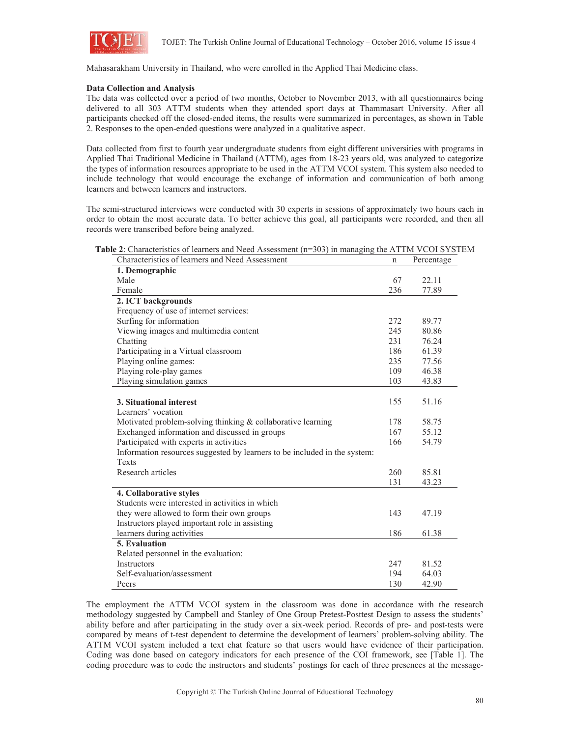

Mahasarakham University in Thailand, who were enrolled in the Applied Thai Medicine class.

#### **Data Collection and Analysis**

The data was collected over a period of two months, October to November 2013, with all questionnaires being delivered to all 303 ATTM students when they attended sport days at Thammasart University. After all participants checked off the closed-ended items, the results were summarized in percentages, as shown in Table 2. Responses to the open-ended questions were analyzed in a qualitative aspect.

Data collected from first to fourth year undergraduate students from eight different universities with programs in Applied Thai Traditional Medicine in Thailand (ATTM), ages from 18-23 years old, was analyzed to categorize the types of information resources appropriate to be used in the ATTM VCOI system. This system also needed to include technology that would encourage the exchange of information and communication of both among learners and between learners and instructors.

The semi-structured interviews were conducted with 30 experts in sessions of approximately two hours each in order to obtain the most accurate data. To better achieve this goal, all participants were recorded, and then all records were transcribed before being analyzed.

| Table 2: Characteristics of learners and Need Assessment (n=303) in managing the ATTM VCOI SYSTEM |  |  |  |
|---------------------------------------------------------------------------------------------------|--|--|--|
|---------------------------------------------------------------------------------------------------|--|--|--|

| Characteristics of learners and Need Assessment                           | n   | Percentage |
|---------------------------------------------------------------------------|-----|------------|
| 1. Demographic                                                            |     |            |
| Male                                                                      | 67  | 22.11      |
| Female                                                                    | 236 | 77.89      |
| 2. ICT backgrounds                                                        |     |            |
| Frequency of use of internet services:                                    |     |            |
| Surfing for information                                                   | 272 | 89.77      |
| Viewing images and multimedia content                                     | 245 | 80.86      |
| Chatting                                                                  | 231 | 76.24      |
| Participating in a Virtual classroom                                      | 186 | 61.39      |
| Playing online games:                                                     | 235 | 77.56      |
| Playing role-play games                                                   | 109 | 46.38      |
| Playing simulation games                                                  | 103 | 43.83      |
|                                                                           |     |            |
| 3. Situational interest                                                   | 155 | 51.16      |
| Learners' vocation                                                        |     |            |
| Motivated problem-solving thinking & collaborative learning               | 178 | 58.75      |
| Exchanged information and discussed in groups                             | 167 | 55.12      |
| Participated with experts in activities                                   | 166 | 54.79      |
| Information resources suggested by learners to be included in the system: |     |            |
| Texts                                                                     |     |            |
| Research articles                                                         | 260 | 85.81      |
|                                                                           | 131 | 43.23      |
| 4. Collaborative styles                                                   |     |            |
| Students were interested in activities in which                           |     |            |
| they were allowed to form their own groups                                | 143 | 47.19      |
| Instructors played important role in assisting                            |     |            |
| learners during activities                                                | 186 | 61.38      |
| 5. Evaluation                                                             |     |            |
| Related personnel in the evaluation:                                      |     |            |
| <b>Instructors</b>                                                        | 247 | 81.52      |
| Self-evaluation/assessment                                                | 194 | 64.03      |
| Peers                                                                     | 130 | 42.90      |

The employment the ATTM VCOI system in the classroom was done in accordance with the research methodology suggested by Campbell and Stanley of One Group Pretest-Posttest Design to assess the students' ability before and after participating in the study over a six-week period. Records of pre- and post-tests were compared by means of t-test dependent to determine the development of learners' problem-solving ability. The ATTM VCOI system included a text chat feature so that users would have evidence of their participation. Coding was done based on category indicators for each presence of the COI framework, see [Table 1]. The coding procedure was to code the instructors and students' postings for each of three presences at the message-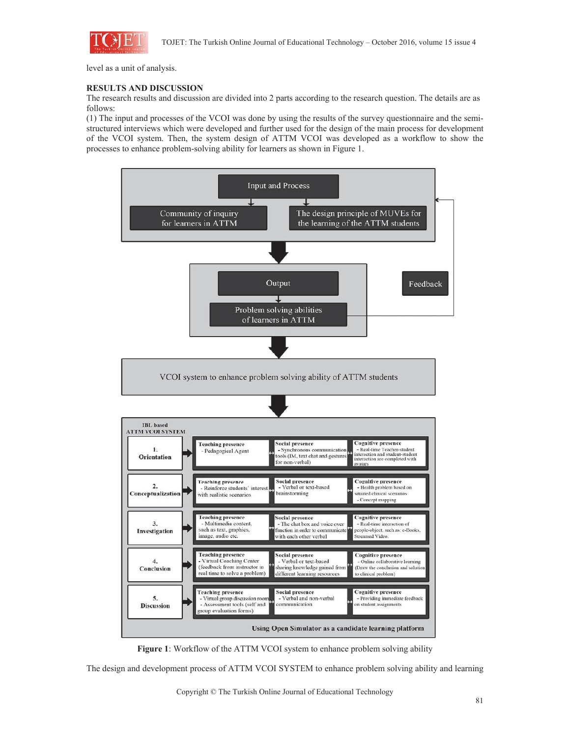

level as a unit of analysis.

### **RESULTS AND DISCUSSION**

The research results and discussion are divided into 2 parts according to the research question. The details are as follows:

(1) The input and processes of the VCOI was done by using the results of the survey questionnaire and the semistructured interviews which were developed and further used for the design of the main process for development of the VCOI system. Then, the system design of ATTM VCOI was developed as a workflow to show the processes to enhance problem-solving ability for learners as shown in Figure 1.





The design and development process of ATTM VCOI SYSTEM to enhance problem solving ability and learning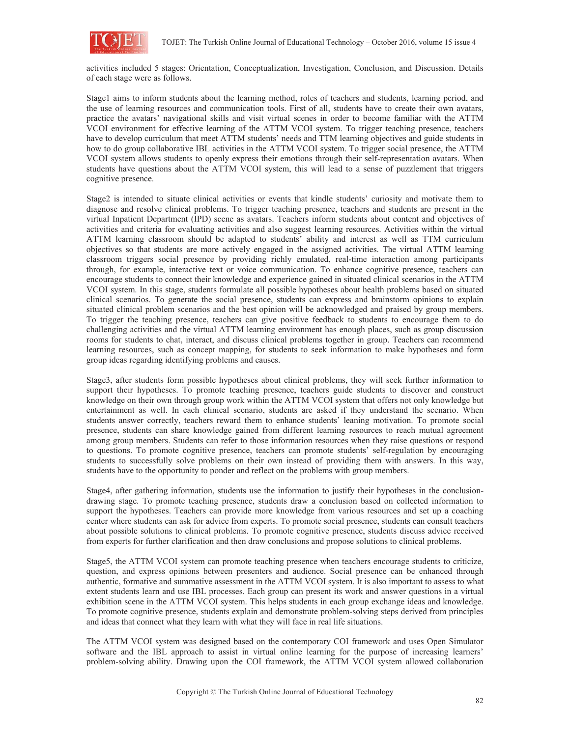

activities included 5 stages: Orientation, Conceptualization, Investigation, Conclusion, and Discussion. Details of each stage were as follows.

Stage1 aims to inform students about the learning method, roles of teachers and students, learning period, and the use of learning resources and communication tools. First of all, students have to create their own avatars, practice the avatars' navigational skills and visit virtual scenes in order to become familiar with the ATTM VCOI environment for effective learning of the ATTM VCOI system. To trigger teaching presence, teachers have to develop curriculum that meet ATTM students' needs and TTM learning objectives and guide students in how to do group collaborative IBL activities in the ATTM VCOI system. To trigger social presence, the ATTM VCOI system allows students to openly express their emotions through their self-representation avatars. When students have questions about the ATTM VCOI system, this will lead to a sense of puzzlement that triggers cognitive presence.

Stage2 is intended to situate clinical activities or events that kindle students' curiosity and motivate them to diagnose and resolve clinical problems. To trigger teaching presence, teachers and students are present in the virtual Inpatient Department (IPD) scene as avatars. Teachers inform students about content and objectives of activities and criteria for evaluating activities and also suggest learning resources. Activities within the virtual ATTM learning classroom should be adapted to students' ability and interest as well as TTM curriculum objectives so that students are more actively engaged in the assigned activities. The virtual ATTM learning classroom triggers social presence by providing richly emulated, real-time interaction among participants through, for example, interactive text or voice communication. To enhance cognitive presence, teachers can encourage students to connect their knowledge and experience gained in situated clinical scenarios in the ATTM VCOI system. In this stage, students formulate all possible hypotheses about health problems based on situated clinical scenarios. To generate the social presence, students can express and brainstorm opinions to explain situated clinical problem scenarios and the best opinion will be acknowledged and praised by group members. To trigger the teaching presence, teachers can give positive feedback to students to encourage them to do challenging activities and the virtual ATTM learning environment has enough places, such as group discussion rooms for students to chat, interact, and discuss clinical problems together in group. Teachers can recommend learning resources, such as concept mapping, for students to seek information to make hypotheses and form group ideas regarding identifying problems and causes.

Stage3, after students form possible hypotheses about clinical problems, they will seek further information to support their hypotheses. To promote teaching presence, teachers guide students to discover and construct knowledge on their own through group work within the ATTM VCOI system that offers not only knowledge but entertainment as well. In each clinical scenario, students are asked if they understand the scenario. When students answer correctly, teachers reward them to enhance students' leaning motivation. To promote social presence, students can share knowledge gained from different learning resources to reach mutual agreement among group members. Students can refer to those information resources when they raise questions or respond to questions. To promote cognitive presence, teachers can promote students' self-regulation by encouraging students to successfully solve problems on their own instead of providing them with answers. In this way, students have to the opportunity to ponder and reflect on the problems with group members.

Stage4, after gathering information, students use the information to justify their hypotheses in the conclusiondrawing stage. To promote teaching presence, students draw a conclusion based on collected information to support the hypotheses. Teachers can provide more knowledge from various resources and set up a coaching center where students can ask for advice from experts. To promote social presence, students can consult teachers about possible solutions to clinical problems. To promote cognitive presence, students discuss advice received from experts for further clarification and then draw conclusions and propose solutions to clinical problems.

Stage5, the ATTM VCOI system can promote teaching presence when teachers encourage students to criticize, question, and express opinions between presenters and audience. Social presence can be enhanced through authentic, formative and summative assessment in the ATTM VCOI system. It is also important to assess to what extent students learn and use IBL processes. Each group can present its work and answer questions in a virtual exhibition scene in the ATTM VCOI system. This helps students in each group exchange ideas and knowledge. To promote cognitive presence, students explain and demonstrate problem-solving steps derived from principles and ideas that connect what they learn with what they will face in real life situations.

The ATTM VCOI system was designed based on the contemporary COI framework and uses Open Simulator software and the IBL approach to assist in virtual online learning for the purpose of increasing learners' problem-solving ability. Drawing upon the COI framework, the ATTM VCOI system allowed collaboration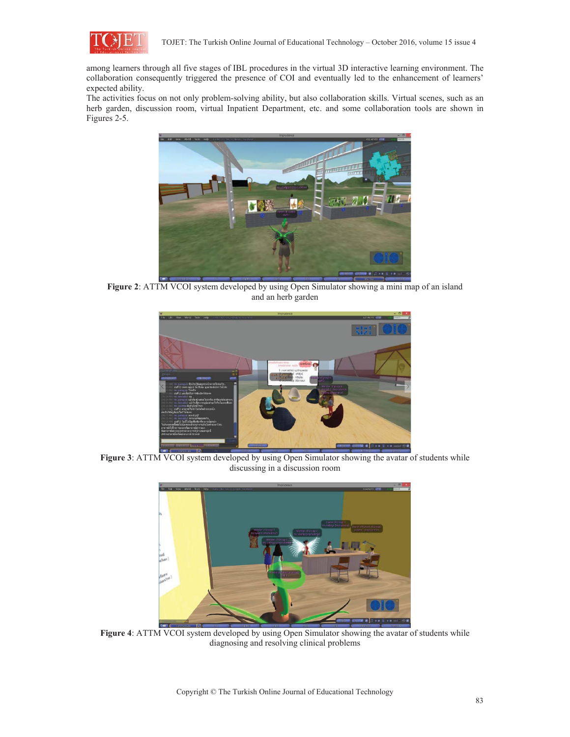

among learners through all five stages of IBL procedures in the virtual 3D interactive learning environment. The collaboration consequently triggered the presence of COI and eventually led to the enhancement of learners' expected ability.

The activities focus on not only problem-solving ability, but also collaboration skills. Virtual scenes, such as an herb garden, discussion room, virtual Inpatient Department, etc. and some collaboration tools are shown in Figures 2-5.



**Figure 2**: ATTM VCOI system developed by using Open Simulator showing a mini map of an island and an herb garden



Figure 3: ATTM VCOI system developed by using Open Simulator showing the avatar of students while discussing in a discussion room



**Figure 4**: ATTM VCOI system developed by using Open Simulator showing the avatar of students while diagnosing and resolving clinical problems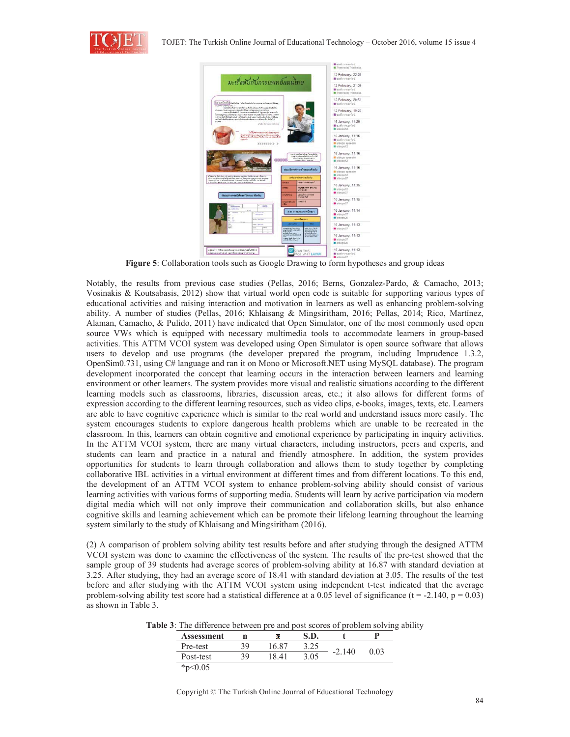



**Figure 5**: Collaboration tools such as Google Drawing to form hypotheses and group ideas

Notably, the results from previous case studies (Pellas, 2016; Berns, Gonzalez-Pardo, & Camacho, 2013; Vosinakis & Koutsabasis, 2012) show that virtual world open code is suitable for supporting various types of educational activities and raising interaction and motivation in learners as well as enhancing problem-solving ability. A number of studies (Pellas, 2016; Khlaisang & Mingsiritham, 2016; Pellas, 2014; Rico, Martínez, Alaman, Camacho, & Pulido, 2011) have indicated that Open Simulator, one of the most commonly used open source VWs which is equipped with necessary multimedia tools to accommodate learners in group-based activities. This ATTM VCOI system was developed using Open Simulator is open source software that allows users to develop and use programs (the developer prepared the program, including Imprudence 1.3.2, OpenSim0.731, using C# language and ran it on Mono or Microsoft.NET using MySQL database). The program development incorporated the concept that learning occurs in the interaction between learners and learning environment or other learners. The system provides more visual and realistic situations according to the different learning models such as classrooms, libraries, discussion areas, etc.; it also allows for different forms of expression according to the different learning resources, such as video clips, e-books, images, texts, etc. Learners are able to have cognitive experience which is similar to the real world and understand issues more easily. The system encourages students to explore dangerous health problems which are unable to be recreated in the classroom. In this, learners can obtain cognitive and emotional experience by participating in inquiry activities. In the ATTM VCOI system, there are many virtual characters, including instructors, peers and experts, and students can learn and practice in a natural and friendly atmosphere. In addition, the system provides opportunities for students to learn through collaboration and allows them to study together by completing collaborative IBL activities in a virtual environment at different times and from different locations. To this end, the development of an ATTM VCOI system to enhance problem-solving ability should consist of various learning activities with various forms of supporting media. Students will learn by active participation via modern digital media which will not only improve their communication and collaboration skills, but also enhance cognitive skills and learning achievement which can be promote their lifelong learning throughout the learning system similarly to the study of Khlaisang and Mingsiritham (2016).

(2) A comparison of problem solving ability test results before and after studying through the designed ATTM VCOI system was done to examine the effectiveness of the system. The results of the pre-test showed that the sample group of 39 students had average scores of problem-solving ability at 16.87 with standard deviation at 3.25. After studying, they had an average score of 18.41 with standard deviation at 3.05. The results of the test before and after studying with the ATTM VCOI system using independent t-test indicated that the average problem-solving ability test score had a statistical difference at a 0.05 level of significance (t = -2.140, p = 0.03) as shown in Table 3.

**Table 3**: The difference between pre and post scores of problem solving ability

| Assessment | n  | э.    | S.D. |           |      |
|------------|----|-------|------|-----------|------|
| Pre-test   | 39 | 16.87 | 3.25 |           | 0.03 |
| Post-test  | 39 | 1841  | 3.05 | 140<br>-2 |      |
| * $p<0.05$ |    |       |      |           |      |

Copyright © The Turkish Online Journal of Educational Technology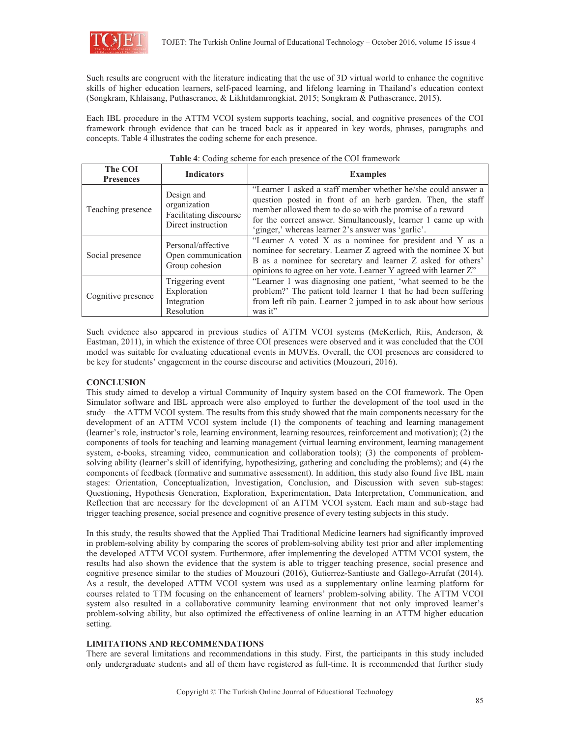

Such results are congruent with the literature indicating that the use of 3D virtual world to enhance the cognitive skills of higher education learners, self-paced learning, and lifelong learning in Thailand's education context (Songkram, Khlaisang, Puthaseranee, & Likhitdamrongkiat, 2015; Songkram & Puthaseranee, 2015).

Each IBL procedure in the ATTM VCOI system supports teaching, social, and cognitive presences of the COI framework through evidence that can be traced back as it appeared in key words, phrases, paragraphs and concepts. Table 4 illustrates the coding scheme for each presence.

| The COI<br><b>Presences</b> | <b>Indicators</b>                                                                                                                                                                                                                                                               | <b>Examples</b>                                                                                                                                                                                                                                                                                                   |
|-----------------------------|---------------------------------------------------------------------------------------------------------------------------------------------------------------------------------------------------------------------------------------------------------------------------------|-------------------------------------------------------------------------------------------------------------------------------------------------------------------------------------------------------------------------------------------------------------------------------------------------------------------|
| Teaching presence           | Design and<br>organization<br>Facilitating discourse<br>Direct instruction                                                                                                                                                                                                      | "Learner 1 asked a staff member whether he/she could answer a<br>question posted in front of an herb garden. Then, the staff<br>member allowed them to do so with the promise of a reward<br>for the correct answer. Simultaneously, learner 1 came up with<br>'ginger,' whereas learner 2's answer was 'garlic'. |
| Social presence             | Personal/affective<br>Open communication<br>Group cohesion                                                                                                                                                                                                                      | "Learner A voted X as a nominee for president and Y as a<br>nominee for secretary. Learner Z agreed with the nominee X but<br>B as a nominee for secretary and learner Z asked for others'<br>opinions to agree on her vote. Learner Y agreed with learner Z"                                                     |
| Cognitive presence          | "Learner 1 was diagnosing one patient, 'what seemed to be the<br>Triggering event<br>problem?' The patient told learner 1 that he had been suffering<br>Exploration<br>from left rib pain. Learner 2 jumped in to ask about how serious<br>Integration<br>Resolution<br>was it" |                                                                                                                                                                                                                                                                                                                   |

### **Table 4**: Coding scheme for each presence of the COI framework

Such evidence also appeared in previous studies of ATTM VCOI systems (McKerlich, Riis, Anderson, & Eastman, 2011), in which the existence of three COI presences were observed and it was concluded that the COI model was suitable for evaluating educational events in MUVEs. Overall, the COI presences are considered to be key for students' engagement in the course discourse and activities (Mouzouri, 2016).

### **CONCLUSION**

This study aimed to develop a virtual Community of Inquiry system based on the COI framework. The Open Simulator software and IBL approach were also employed to further the development of the tool used in the study—the ATTM VCOI system. The results from this study showed that the main components necessary for the development of an ATTM VCOI system include (1) the components of teaching and learning management (learner's role, instructor's role, learning environment, learning resources, reinforcement and motivation); (2) the components of tools for teaching and learning management (virtual learning environment, learning management system, e-books, streaming video, communication and collaboration tools); (3) the components of problemsolving ability (learner's skill of identifying, hypothesizing, gathering and concluding the problems); and (4) the components of feedback (formative and summative assessment). In addition, this study also found five IBL main stages: Orientation, Conceptualization, Investigation, Conclusion, and Discussion with seven sub-stages: Questioning, Hypothesis Generation, Exploration, Experimentation, Data Interpretation, Communication, and Reflection that are necessary for the development of an ATTM VCOI system. Each main and sub-stage had trigger teaching presence, social presence and cognitive presence of every testing subjects in this study.

In this study, the results showed that the Applied Thai Traditional Medicine learners had significantly improved in problem-solving ability by comparing the scores of problem-solving ability test prior and after implementing the developed ATTM VCOI system. Furthermore, after implementing the developed ATTM VCOI system, the results had also shown the evidence that the system is able to trigger teaching presence, social presence and cognitive presence similar to the studies of Mouzouri (2016), Gutierrez-Santiuste and Gallego-Arrufat (2014). As a result, the developed ATTM VCOI system was used as a supplementary online learning platform for courses related to TTM focusing on the enhancement of learners' problem-solving ability. The ATTM VCOI system also resulted in a collaborative community learning environment that not only improved learner's problem-solving ability, but also optimized the effectiveness of online learning in an ATTM higher education setting.

### **LIMITATIONS AND RECOMMENDATIONS**

There are several limitations and recommendations in this study. First, the participants in this study included only undergraduate students and all of them have registered as full-time. It is recommended that further study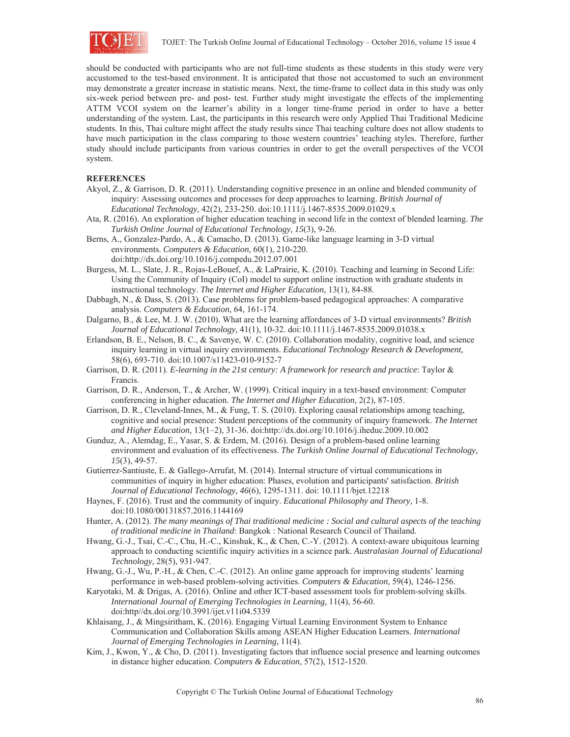

should be conducted with participants who are not full-time students as these students in this study were very accustomed to the test-based environment. It is anticipated that those not accustomed to such an environment may demonstrate a greater increase in statistic means. Next, the time-frame to collect data in this study was only six-week period between pre- and post- test. Further study might investigate the effects of the implementing ATTM VCOI system on the learner's ability in a longer time-frame period in order to have a better understanding of the system. Last, the participants in this research were only Applied Thai Traditional Medicine students. In this, Thai culture might affect the study results since Thai teaching culture does not allow students to have much participation in the class comparing to those western countries' teaching styles. Therefore, further study should include participants from various countries in order to get the overall perspectives of the VCOI system.

#### **REFERENCES**

- Akyol, Z., & Garrison, D. R. (2011). Understanding cognitive presence in an online and blended community of inquiry: Assessing outcomes and processes for deep approaches to learning. *British Journal of Educational Technology,* 42(2), 233-250. doi:10.1111/j.1467-8535.2009.01029.x
- Ata, R. (2016). An exploration of higher education teaching in second life in the context of blended learning. *The Turkish Online Journal of Educational Technology, 15*(3), 9-26.
- Berns, A., Gonzalez-Pardo, A., & Camacho, D. (2013). Game-like language learning in 3-D virtual environments. *Computers & Education,* 60(1), 210-220. doi:http://dx.doi.org/10.1016/j.compedu.2012.07.001
- Burgess, M. L., Slate, J. R., Rojas-LeBouef, A., & LaPrairie, K. (2010). Teaching and learning in Second Life: Using the Community of Inquiry (CoI) model to support online instruction with graduate students in instructional technology. *The Internet and Higher Education,* 13(1), 84-88.
- Dabbagh, N., & Dass, S. (2013). Case problems for problem-based pedagogical approaches: A comparative analysis. *Computers & Education,* 64, 161-174.
- Dalgarno, B., & Lee, M. J. W. (2010). What are the learning affordances of 3-D virtual environments? *British Journal of Educational Technology,* 41(1), 10-32. doi:10.1111/j.1467-8535.2009.01038.x
- Erlandson, B. E., Nelson, B. C., & Savenye, W. C. (2010). Collaboration modality, cognitive load, and science inquiry learning in virtual inquiry environments. *Educational Technology Research & Development,*  58(6), 693-710. doi:10.1007/s11423-010-9152-7
- Garrison, D. R. (2011). *E-learning in the 21st century: A framework for research and practice*: Taylor & Francis.
- Garrison, D. R., Anderson, T., & Archer, W. (1999). Critical inquiry in a text-based environment: Computer conferencing in higher education. *The Internet and Higher Education,* 2(2), 87-105.
- Garrison, D. R., Cleveland-Innes, M., & Fung, T. S. (2010). Exploring causal relationships among teaching, cognitive and social presence: Student perceptions of the community of inquiry framework. *The Internet and Higher Education,* 13(1–2), 31-36. doi:http://dx.doi.org/10.1016/j.iheduc.2009.10.002
- Gunduz, A., Alemdag, E., Yasar, S. & Erdem, M. (2016). Design of a problem-based online learning environment and evaluation of its effectiveness. *The Turkish Online Journal of Educational Technology, 15*(3), 49-57.
- Gutierrez-Santiuste, E. & Gallego-Arrufat, M. (2014). Internal structure of virtual communications in communities of inquiry in higher education: Phases, evolution and participants' satisfaction. *British Journal of Educational Technology, 46*(6), 1295-1311. doi: 10.1111/bjet.12218
- Haynes, F. (2016). Trust and the community of inquiry. *Educational Philosophy and Theory,* 1-8. doi:10.1080/00131857.2016.1144169
- Hunter, A. (2012). *The many meanings of Thai traditional medicine : Social and cultural aspects of the teaching of traditional medicine in Thailand*: Bangkok : National Research Council of Thailand.
- Hwang, G.-J., Tsai, C.-C., Chu, H.-C., Kinshuk, K., & Chen, C.-Y. (2012). A context-aware ubiquitous learning approach to conducting scientific inquiry activities in a science park. *Australasian Journal of Educational Technology,* 28(5), 931-947.
- Hwang, G.-J., Wu, P.-H., & Chen, C.-C. (2012). An online game approach for improving students' learning performance in web-based problem-solving activities. *Computers & Education,* 59(4), 1246-1256.
- Karyotaki, M. & Drigas, A. (2016). Online and other ICT-based assessment tools for problem-solving skills. *International Journal of Emerging Technologies in Learning,* 11(4), 56-60. doi:http//dx.doi.org/10.3991/ijet.v11i04.5339
- Khlaisang, J., & Mingsiritham, K. (2016). Engaging Virtual Learning Environment System to Enhance Communication and Collaboration Skills among ASEAN Higher Education Learners. *International Journal of Emerging Technologies in Learning,* 11(4).
- Kim, J., Kwon, Y., & Cho, D. (2011). Investigating factors that influence social presence and learning outcomes in distance higher education. *Computers & Education,* 57(2), 1512-1520.